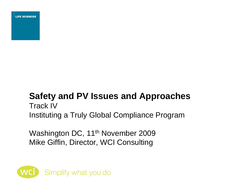**LIFE SCIENCES** 

## **Safety and PV Issues and Approaches**  Track IV Instituting a Truly Global Compliance Program

Washington DC, 11<sup>th</sup> November 2009 Mike Giffin, Director, WCI Consulting

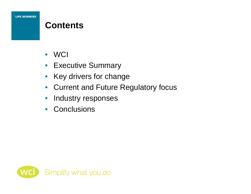## **Contents**

- WCI
- Executive Summary
- Key drivers for change
- Current and Future Regulatory focus
- Industry responses
- Conclusions

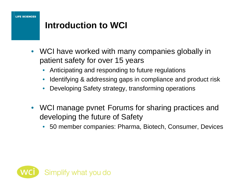## **Introduction to WCI**

- WCI have worked with many companies globally in patient safety for over 15 years
	- Anticipating and responding to future regulations
	- Identifying & addressing gaps in compliance and product risk
	- Developing Safety strategy, transforming operations
- WCI manage pvnet Forums for sharing practices and developing the future of Safety
	- 50 member companies: Pharma, Biotech, Consumer, Devices

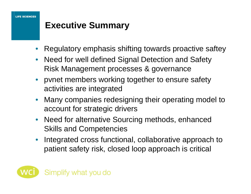## **Executive Summary**

- Regulatory emphasis shifting towards proactive saftey
- Need for well defined Signal Detection and Safety Risk Management processes & governance
- pvnet members working together to ensure safety activities are integrated
- Many companies redesigning their operating model to account for strategic drivers
- Need for alternative Sourcing methods, enhanced Skills and Competencies
- Integrated cross functional, collaborative approach to patient safety risk, closed loop approach is critical

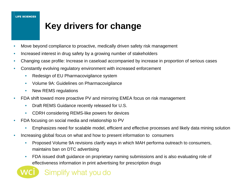## **Key drivers for change**

- Move beyond compliance to proactive, medically driven safety risk management
- Increased interest in drug safety by a growing number of stakeholders
- Changing case profile: Increase in caseload accompanied by increase in proportion of serious cases
- Constantly evolving regulatory environment with increased enforcement
	- Redesign of EU Pharmacovigilance system
	- Volume 9A: Guidelines on Pharmacovigilance
	- New REMS regulations
- FDA shift toward more proactive PV and mirroring EMEA focus on risk management
	- Draft REMS Guidance recently released for U.S.
	- CDRH considering REMS-like powers for devices
- FDA focusing on social media and relationship to PV
	- Emphasizes need for scalable model, efficient and effective processes and likely data mining solution
- Increasing global focus on what and how to present information to consumers
	- Proposed Volume 9A revisions clarify ways in which MAH performa outreach to consumers, maintains ban on DTC advertising
	- FDA issued draft guidance on proprietary naming submissions and is also evaluating role of effectiveness information in print advertising for prescription drugs

Simplify what you do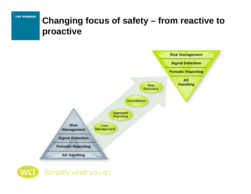## **Changing focus of safety – from reactive to proactive**



Simplify what you do **WC**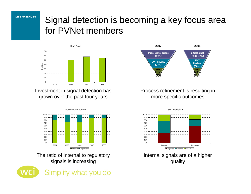**LIFE SCIENCES** 

# Signal detection is becoming a key focus area for PVNet members



Investment in signal detection has grown over the past four years



The ratio of internal to regulatory signals is increasing





#### Process refinement is resulting in more specific outcomes



Internal signals are of a higher quality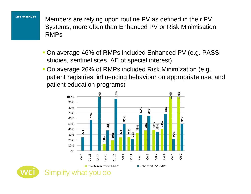**LIFE SCIENCES** 

Members are relying upon routine PV as defined in their PV Systems, more often than Enhanced PV or Risk Minimisation RMPs

- On average 46% of RMPs included Enhanced PV (e.g. PASS studies, sentinel sites, AE of special interest)
- On average 26% of RMPs included Risk Minimization (e.g. patient registries, influencing behaviour on appropriate use, and patient education programs)

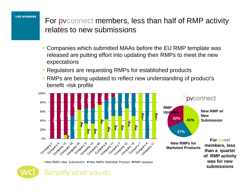For pvconnect members, less than half of RMP activity relates to new submissions

- Companies which submitted MAAs before the EU RMP template was released are putting effort into updating their RMPs to meet the new expectations
- **Regulators are requesting RMPs for established products**
- RMPs are being updated to reflect new understanding of product's benefit -risk profile



New RMPs New Submission ■New RMPs Marketed Product ■RMP Updates

Simplify what you do

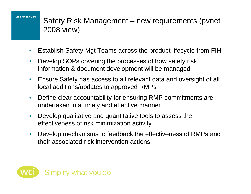Safety Risk Management – new requirements (pvnet 2008 view)

- Establish Safety Mgt Teams across the product lifecycle from FIH
- Develop SOPs covering the processes of how safety risk information & document development will be managed
- Ensure Safety has access to all relevant data and oversight of all local additions/updates to approved RMPs
- Define clear accountability for ensuring RMP commitments are undertaken in a timely and effective manner
- Develop qualitative and quantitative tools to assess the effectiveness of risk minimization activity
- Develop mechanisms to feedback the effectiveness of RMPs and their associated risk intervention actions

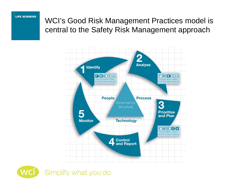WCI's Good Risk Management Practices model is central to the Safety Risk Management approach



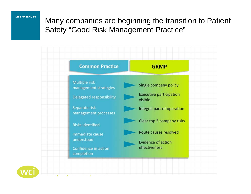### Many companies are beginning the transition to Patient Safety "Good Risk Management Practice"



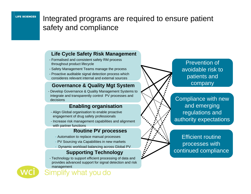### Integrated programs are required to ensure patient safety and compliance

#### **Life Cycle Safety Risk Management**

- Formalised and consistent safety RM process throughout product lifecycle
- Safety Management Teams manage the process
- Proactive auditable signal detection process which consideres relevant internal and external sources

### **Governance & Quality Mgt System**

- Develop Governance & Quality Management Systems to integrate and transparently control PV processes and decisions

#### **Enabling organisation**

- Align Global organisation to enable proactive engagement of drug safety professionals
- Increase risk management capabilities and alignment with partner functions

#### **Routine PV processes**

- Automation to replace manual processes
- PV Sourcing via Capabilities in new markets
- Dynamic workload balancing across Global PV

### **Supporting Technology**

- Technology to support efficient processing of data and provides advanced support for signal detection and risk management



mplify what you do

Prevention of avoidable risk to patients and company

Compliance with new and emerging regulations and authority expectations

Efficient routine processes with continued compliance